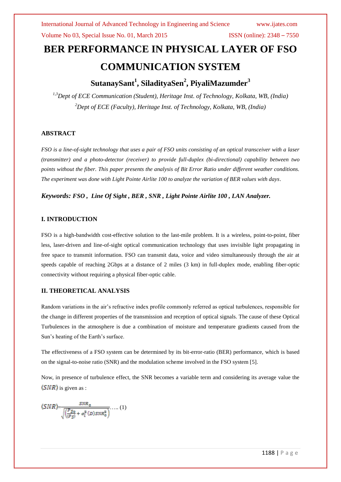# **BER PERFORMANCE IN PHYSICAL LAYER OF FSO COMMUNICATION SYSTEM**

# **SutanaySant<sup>1</sup> , SiladityaSen<sup>2</sup> , PiyaliMazumder<sup>3</sup>**

*1,3Dept of ECE Communication (Student), Heritage Inst. of Technology, Kolkata, WB, (India) <sup>2</sup>Dept of ECE (Faculty), Heritage Inst. of Technology, Kolkata, WB, (India)*

#### **ABSTRACT**

*FSO is a line-of-sight technology that uses a pair of FSO units consisting of an optical transceiver with a laser (transmitter) and a photo-detector (receiver) to provide full-duplex (bi-directional) capability between two points without the fiber. This paper presents the analysis of Bit Error Ratio under different weather conditions. The experiment was done with Light Pointe Airlite 100 to analyze the variation of BER values with days*.

*Keywords: FSO , Line Of Sight , BER , SNR , Light Pointe Airlite 100 , LAN Analyzer.*

#### **I. INTRODUCTION**

FSO is a high-bandwidth cost-effective solution to the last-mile problem. It is a wireless, point-to-point, fiber less, laser-driven and line-of-sight optical communication technology that uses invisible light propagating in free space to transmit information. FSO can transmit data, voice and video simultaneously through the air at speeds capable of reaching 2Gbps at a distance of 2 miles (3 km) in full-duplex mode, enabling fiber-optic connectivity without requiring a physical fiber-optic cable.

#### **II. THEORETICAL ANALYSIS**

Random variations in the air's refractive index profile commonly referred as optical turbulences, responsible for the change in different properties of the transmission and reception of optical signals. The cause of these Optical Turbulences in the atmosphere is due a combination of moisture and temperature gradients caused from the Sun's heating of the Earth's surface.

The effectiveness of a FSO system can be determined by its bit-error-ratio (BER) performance, which is based on the signal-to-noise ratio (SNR) and the modulation scheme involved in the FSO system [5].

Now, in presence of turbulence effect, the SNR becomes a variable term and considering its average value the  $\langle SNR \rangle$  is given as :

$$
\langle SNR \rangle = \frac{SNR_0}{\sqrt{\left(\frac{P_{SO}}{\langle P_{S} \rangle} + \sigma_i^2(D) SNR_0^2\right)}} \dots (1)
$$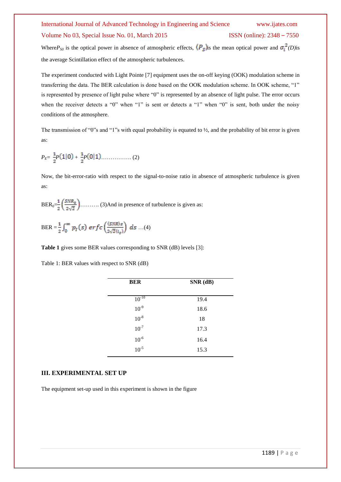# International Journal of Advanced Technology in Engineering and Science www.ijates.com Volume No 03, Special Issue No. 01, March 2015 ISSN (online): 2348 – 7550

Where $P_{SO}$  is the optical power in absence of atmospheric effects,  $\langle P_{S} \rangle$  is the mean optical power and  $\sigma_i^2(D)$  is the average Scintillation effect of the atmospheric turbulences.

The experiment conducted with Light Pointe [7] equipment uses the on-off keying (OOK) modulation scheme in transferring the data. The BER calculation is done based on the OOK modulation scheme. In OOK scheme, "1" is represented by presence of light pulse where "0" is represented by an absence of light pulse. The error occurs when the receiver detects a "0" when "1" is sent or detects a "1" when "0" is sent, both under the noisy conditions of the atmosphere.

The transmission of "0"s and "1"s with equal probability is equated to  $\frac{1}{2}$ , and the probability of bit error is given as:

*PE*= *P* + *P* ……………. (2)

Now, the bit-error-ratio with respect to the signal-to-noise ratio in absence of atmospheric turbulence is given as:

 $BER_0=\frac{1}{2}\left(\frac{SNR_0}{2\sqrt{2}}\right)$ .......... (3)And in presence of turbulence is given as:

BER =  $\frac{1}{2} \int_0^{\infty} p_I(s) \, erf \, c \left( \frac{\langle SNR \rangle s}{2 \sqrt{2} \langle i_s \rangle} \right) \, ds \dots (4)$ 

**Table 1** gives some BER values corresponding to SNR (dB) levels [3]:

Table 1: BER values with respect to SNR (dB)

| $SNR$ (dB) |
|------------|
| 19.4       |
| 18.6       |
| 18         |
| 17.3       |
| 16.4       |
| 15.3       |
|            |

#### **III. EXPERIMENTAL SET UP**

The equipment set-up used in this experiment is shown in the figure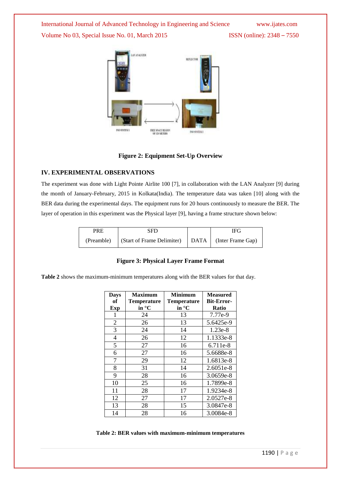

#### **Figure 2: Equipment Set-Up Overview**

#### **IV. EXPERIMENTAL OBSERVATIONS**

The experiment was done with Light Pointe Airlite 100 [7], in collaboration with the LAN Analyzer [9] during the month of January-February, 2015 in Kolkata(India). The temperature data was taken [10] along with the BER data during the experimental days. The equipment runs for 20 hours continuously to measure the BER. The layer of operation in this experiment was the Physical layer [9], having a frame structure shown below:

| PRE | <b>SFD</b>                                                         |  | <b>IFG</b> |
|-----|--------------------------------------------------------------------|--|------------|
|     | (Preamble)   (Start of Frame Delimiter)   DATA   (Inter Frame Gap) |  |            |

#### **Figure 3: Physical Layer Frame Format**

**Table 2** shows the maximum-minimum temperatures along with the BER values for that day.

| <b>Days</b>    | <b>Maximum</b>     | <b>Minimum</b>     | <b>Measured</b>   |
|----------------|--------------------|--------------------|-------------------|
| of             | <b>Temperature</b> | <b>Temperature</b> | <b>Bit-Error-</b> |
| <b>Exp</b>     | in °C              | in $\mathrm{C}$    | <b>Ratio</b>      |
| 1              | 24                 | 13                 | 7.77e-9           |
| $\overline{2}$ | 26                 | 13                 | 5.6425e-9         |
| 3              | 24                 | 14                 | $1.23e-8$         |
| $\overline{4}$ | 26                 | 12                 | 1.1333e-8         |
| 5              | 27                 | 16                 | 6.711e-8          |
| 6              | 27                 | 16                 | 5.6688e-8         |
| 7              | 29                 | 12                 | 1.6813e-8         |
| 8              | 31                 | 14                 | $2.6051e-8$       |
| 9              | 28                 | 16                 | 3.0659e-8         |
| 10             | 25                 | 16                 | 1.7899e-8         |
| 11             | 28                 | 17                 | 1.9234e-8         |
| 12             | 27                 | 17                 | 2.0527e-8         |
| 13             | 28                 | 15                 | 3.0847e-8         |
| 14             | 28                 | 16                 | 3.0084e-8         |

**Table 2: BER values with maximum-minimum temperatures**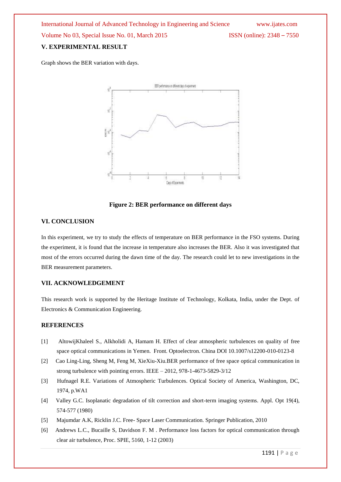### **V. EXPERIMENTAL RESULT**

Graph shows the BER variation with days.



**Figure 2: BER performance on different days**

#### **VI. CONCLUSION**

In this experiment, we try to study the effects of temperature on BER performance in the FSO systems. During the experiment, it is found that the increase in temperature also increases the BER. Also it was investigated that most of the errors occurred during the dawn time of the day. The research could let to new investigations in the BER measurement parameters.

#### **VII. ACKNOWLEDGEMENT**

This research work is supported by the Heritage Institute of Technology, Kolkata, India, under the Dept. of Electronics & Communication Engineering.

#### **REFERENCES**

- [1] AltowijKhaleel S., Alkholidi A, Hamam H. Effect of clear atmospheric turbulences on quality of free space optical communications in Yemen. Front. Optoelectron. China DOI 10.1007/s12200-010-0123-8
- [2] Cao Ling-Ling, Sheng M, Feng M, XieXiu-Xiu.BER performance of free space optical communication in strong turbulence with pointing errors. IEEE – 2012, 978-1-4673-5829-3/12
- [3] Hufnagel R.E. Variations of Atmospheric Turbulences. Optical Society of America, Washington, DC, 1974, p.WA1
- [4] Valley G.C. Isoplanatic degradation of tilt correction and short-term imaging systems. Appl. Opt 19(4), 574-577 (1980)
- [5] Majumdar A.K, Ricklin J.C. Free- Space Laser Communication. Springer Publication, 2010
- [6] Andrews L.C., Bucaille S, Davidson F. M . Performance loss factors for optical communication through clear air turbulence, Proc. SPIE, 5160, 1-12 (2003)